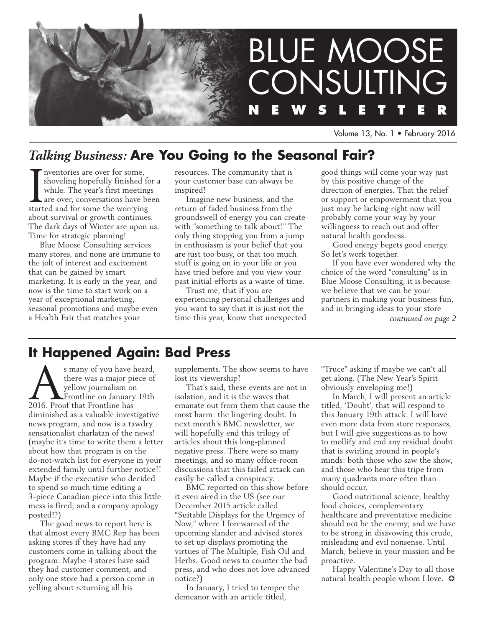

Volume 13, No. 1 • February 2016

## *Talking Business:* **Are You Going to the Seasonal Fair?**

Inventories are over for some,<br>shoveling hopefully finished for<br>while. The year's first meeting<br>are over, conversations have be<br>started and for some the worrying nventories are over for some, shoveling hopefully finished for a while. The year's first meetings are over, conversations have been about survival or growth continues. The dark days of Winter are upon us. Time for strategic planning!

Blue Moose Consulting services many stores, and none are immune to the jolt of interest and excitement that can be gained by smart marketing. It is early in the year, and now is the time to start work on a year of exceptional marketing, seasonal promotions and maybe even a Health Fair that matches your

resources. The community that is your customer base can always be inspired!

Imagine new business, and the return of faded business from the groundswell of energy you can create with "something to talk about!" The only thing stopping you from a jump in enthusiasm is your belief that you are just too busy, or that too much stuff is going on in your life or you have tried before and you view your past initial efforts as a waste of time.

Trust me, that if you are experiencing personal challenges and you want to say that it is just not the time this year, know that unexpected good things will come your way just by this positive change of the direction of energies. That the relief or support or empowerment that you just may be lacking right now will probably come your way by your willingness to reach out and offer natural health goodness.

Good energy begets good energy. So let's work together.

If you have ever wondered why the choice of the word "consulting" is in Blue Moose Consulting, it is because we believe that we can be your partners in making your business fun, and in bringing ideas to your store *continued on page 2*

### **It Happened Again: Bad Press**

s many of you have heard,<br>there was a major piece of<br>yellow journalism on<br>2016. Proof that Frontline has there was a major piece of yellow journalism on Frontline on January 19th 2016. Proof that Frontline has diminished as a valuable investigative news program, and now is a tawdry sensationalist charlatan of the news! (maybe it's time to write them a letter about how that program is on the do-not-watch list for everyone in your extended family until further notice!! Maybe if the executive who decided to spend so much time editing a 3-piece Canadian piece into this little mess is fired, and a company apology posted!?)

The good news to report here is that almost every BMC Rep has been asking stores if they have had any customers come in talking about the program. Maybe 4 stores have said they had customer comment, and only one store had a person come in yelling about returning all his

supplements. The show seems to have lost its viewership!

That's said, these events are not in isolation, and it is the waves that emanate out from them that cause the most harm: the lingering doubt. In next month's BMC newsletter, we will hopefully end this trilogy of articles about this long-planned negative press. There were so many meetings, and so many office-room discussions that this failed attack can easily be called a conspiracy.

BMC reported on this show before it even aired in the US (see our December 2015 article called "Suitable Displays for the Urgency of Now," where I forewarned of the upcoming slander and advised stores to set up displays promoting the virtues of The Multiple, Fish Oil and Herbs. Good news to counter the bad press, and who does not love advanced notice?)

In January, I tried to temper the demeanor with an article titled,

"Truce" asking if maybe we can't all get along. (The New Year's Spirit obviously enveloping me!)

In March, I will present an article titled, 'Doubt', that will respond to this January 19th attack. I will have even more data from store responses, but I will give suggestions as to how to mollify and end any residual doubt that is swirling around in people's minds: both those who saw the show, and those who hear this tripe from many quadrants more often than should occur.

Good nutritional science, healthy food choices, complementary healthcare and preventative medicine should not be the enemy; and we have to be strong in disavowing this crude, misleading and evil nonsense. Until March, believe in your mission and be proactive.

Happy Valentine's Day to all those natural health people whom I love.  $\odot$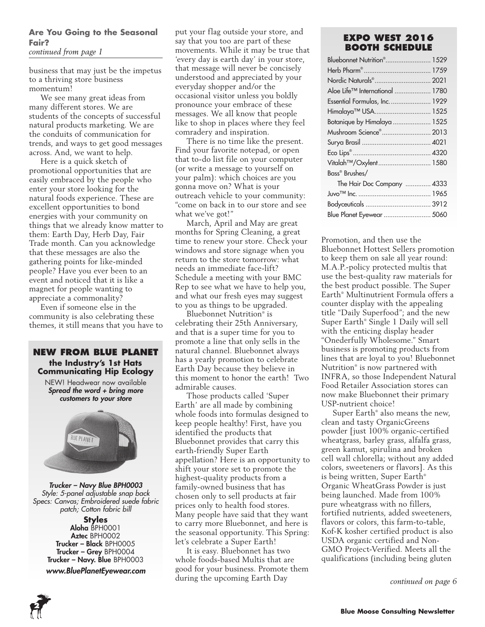### **Are You Going to the Seasonal Fair?**

*continued from page 1*

business that may just be the impetus to a thriving store business momentum!

We see many great ideas from many different stores. We are students of the concepts of successful natural products marketing. We are the conduits of communication for trends, and ways to get good messages across. And, we want to help.

Here is a quick sketch of promotional opportunities that are easily embraced by the people who enter your store looking for the natural foods experience. These are excellent opportunities to bond energies with your community on things that we already know matter to them: Earth Day, Herb Day, Fair Trade month. Can you acknowledge that these messages are also the gathering points for like-minded people? Have you ever been to an event and noticed that it is like a magnet for people wanting to appreciate a commonality?

Even if someone else in the community is also celebrating these themes, it still means that you have to



*Trucker – Navy Blue BPH0003 Style: 5-panel adjustable snap back Specs: Canvas; Embroidered suede fabric patch; Cotton fabric bill*

**Styles** Aloha BPH0001 Aztec BPH0002 Trucker – Black BPH0005 Trucker – Grey BPH0004 Trucker – Navy. Blue BPH0003 *www.BluePlanetEyewear.com* put your flag outside your store, and say that you too are part of these movements. While it may be true that 'every day is earth day' in your store, that message will never be concisely understood and appreciated by your everyday shopper and/or the occasional visitor unless you boldly pronounce your embrace of these messages. We all know that people like to shop in places where they feel comradery and inspiration.

There is no time like the present. Find your favorite notepad, or open that to-do list file on your computer (or write a message to yourself on your palm): which choices are you gonna move on? What is your outreach vehicle to your community: "come on back in to our store and see what we've got!"

March, April and May are great months for Spring Cleaning, a great time to renew your store. Check your windows and store signage when you return to the store tomorrow: what needs an immediate face-lift? Schedule a meeting with your BMC Rep to see what we have to help you, and what our fresh eyes may suggest to you as things to be upgraded.

Bluebonnet Nutrition® is celebrating their 25th Anniversary, and that is a super time for you to promote a line that only sells in the natural channel. Bluebonnet always has a yearly promotion to celebrate Earth Day because they believe in this moment to honor the earth! Two admirable causes.

Those products called 'Super Earth' are all made by combining whole foods into formulas designed to keep people healthy! First, have you identified the products that Bluebonnet provides that carry this earth-friendly Super Earth appellation? Here is an opportunity to shift your store set to promote the highest-quality products from a family-owned business that has chosen only to sell products at fair prices only to health food stores. Many people have said that they want to carry more Bluebonnet, and here is the seasonal opportunity. This Spring: let's celebrate a Super Earth!

It is easy. Bluebonnet has two whole foods-based Multis that are good for your business. Promote them during the upcoming Earth Day

### **Expo West 2016 Booth Schedule**

| Bluebonnet Nutrition <sup>®</sup> 1529 |  |
|----------------------------------------|--|
|                                        |  |
| Nordic Naturals® 2021                  |  |
| Aloe Life™ International  1780         |  |
| Essential Formulas, Inc.  1929         |  |
| Himalaya™ USA 1525                     |  |
| Botanique by Himalaya  1525            |  |
| Mushroom Science® 2013                 |  |
|                                        |  |
|                                        |  |
| Vitalah™/Oxylent 1580                  |  |
| Bass® Brushes/                         |  |
| The Hair Doc Company  4333             |  |
|                                        |  |
|                                        |  |
| Blue Planet Eyewear  5060              |  |

Promotion, and then use the Bluebonnet Hottest Sellers promotion to keep them on sale all year round: M.A.P.-policy protected multis that use the best-quality raw materials for the best product possible. The Super Earth® Multinutrient Formula offers a counter display with the appealing title "Daily Superfood"; and the new Super Earth® Single 1 Daily will sell with the enticing display header "Onederfully Wholesome." Smart business is promoting products from lines that are loyal to you! Bluebonnet Nutrition® is now partnered with INFRA, so those Independent Natural Food Retailer Association stores can now make Bluebonnet their primary USP-nutrient choice!

Super Earth® also means the new, clean and tasty OrganicGreens powder [just 100% organic-certified wheatgrass, barley grass, alfalfa grass, green kamut, spirulina and broken cell wall chlorella; without any added colors, sweeteners or flavors]. As this is being written, Super Earth® Organic WheatGrass Powder is just being launched. Made from 100% pure wheatgrass with no fillers, fortified nutrients, added sweeteners, flavors or colors, this farm-to-table, Kof-K kosher certified product is also USDA organic certified and Non-GMO Project-Verified. Meets all the qualifications (including being gluten

*continued on page 6*

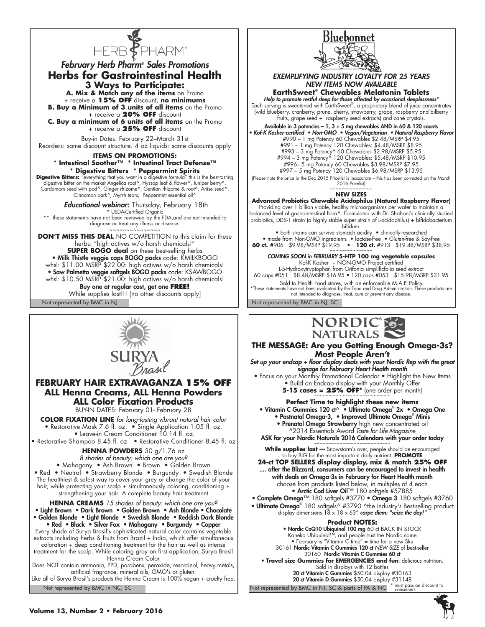

### *February Herb Pharm® Sales Promotions* **Herbs for Gastrointestinal Health 3 Ways to Participate:**

**A. Mix & Match any of the items** on Promo + receive a **15% OFF** discount, **no minimums B. Buy a Minimum of 3 units of all items** on the Promo

+ receive a **20% OFF** discount **C. Buy a minimum of 6 units of all items** on the Promo

+ receive a **25% OFF** discount

Buy-in Dates: February 22–March 31st Reorders: same discount structure. 4 oz liquids: same discounts apply

#### **ITEMS ON PROMOTIONS: \* Intestinal Soother™ \* Intestinal Tract Defense™ \* Digestive Bitters \* Peppermint Spirits**

Digestive Bitters: "everything that you want in a digestive formula" this is the best-tasting digestive bitter on the market Angelica root^, Hyssop leaf & flower^, Juniper berry^,<br>Cardamom seed with pod^, Ginger rhizome^, Gentian rhizome & root^, Anise seed^,<br>Cinnamon bark^, Myrrh tears, Peppermint essential oil^

 *Educational webinar:* Thursday, February 18th ^ USDA-Certified Organic

\*\* these statements have not been reviewed by the FDA,and are not intended to diagnose or treat any illness or disease.

~~~~~~~~~~~~~~~ **DON'T MISS THIS DEAL** NO COMPETITION to this claim for these herbs: "high actives w/o harsh chemicals!" **SUPER BOGO deal** on these best-selling herbs • Milk Thistle veggie caps BOGO packs code: KMILKBOGO whsl: \$11.00 MSRP \$22.00: high actives w/o harsh chemicals! • Saw Palmetto veggie softgels BOGO packs code: KSAWBOGO whsl: \$10.50 MSRP \$21.00: high actives w/o harsh chemicals! Buy one at regular cost, get one **FREE!**  While supplies last!!! [no other discounts apply]



### **FEBRUARY HAIR EXTRAVAGANZA 15% OFF ALL Henna Creams, ALL Henna Powders ALL Color Fixation Products**

BUY-IN DATES: February 01- February 28

**Color Fixation Line** *for long-lasting vibrant natural hair color* • Restorative Mask 7.6 fl. oz. • Single Application 1.05 fl. oz. • Leave-in Cream Conditioner 10.14 fl. oz.

• Restorative Shampoo 8.45 fl. oz • Restorative Conditioner 8.45 fl. oz

**Henna Powders** 50 g/1.76 oz

*8 shades of beauty: which one are you?*

• Mahogany • Ash Brown • Brown • Golden Brown • Red • Neutral • Strawberry Blonde • Burgundy • Swedish Blonde The healthiest & safest way to cover your grey or change the color of your hair, while protecting your scalp + simultaneously coloring, conditioning + strengthening your hair. A complete beauty hair treatment

**Henna Creams** *15 shades of beauty: which one are you?* • Light Brown • Dark Brown • Golden Brown • Ash Blonde • Chocolate • Golden Blonde • Light Blonde • Swedish Blonde • Reddish Dark Blonde • Red • Black • Silver Fox • Mahogany • Burgundy • Copper Every shade of Surya Brasil's sophisticated natural color contains vegetable extracts including herbs & fruits from Brazil + India, which offer simultaneous coloration + deep conditioning treatment for the hair as well as intense treatment for the scalp. While coloring gray on first application, Surya Brasil

Henna Cream Color Does NOT contain ammonia, PPD, parabens, peroxide, resorcinol, heavy metals, artificial fragrance, mineral oils, GMO's or gluten.

Not represented by BMC in NC, SC Like all of Surya Brasil's products the Henna Cream is 100% vegan + cruelty free.



*EXEMPLIFYING INDUSTRY LOYALTY FOR 25 YEARS NEW ITEMS NOW AVAILABLE*

**EarthSweet® Chewables Melatonin Tablets**

*Help to promote restful sleep for those affected by occasional sleeplessness\** Each serving is sweetened with EarthSweet® , a proprietary blend of juice concentrates (wild blueberry, cranberry, prune, cherry, strawberry, grape, raspberry and bilberry fruits, grape seed + raspberry seed extracts) and cane crystals.

Available in 3 potencies – 1, 3 + 5 mg chewables AND in 60 & 120 counts

• Kof-K Kosher-certified • Non-GMO • Vegan/Vegetarian • Natural Raspberry Flavor #990 – 1 mg Potency 60 Chewables \$2.48/MSRP \$4.95 #991 – 1 mg Potency 120 Chewables: \$4.48/MSRP \$8.95 #993 – 3 mg Potency^ 60 Chewables \$2.98/MSRP \$5.95 #994 – 3 mg Potency^ 120 Chewables: \$5.48/MSRP \$10.95

#996– 5 mg Potency 60 Chewables \$3.98/MSRP \$7.95 #997 – 5 mg Potency 120 Chewables \$6.98/MSRP \$13.95

(Please note the price in the Dec 2015 Pricelist is inaccurate – this has been corrected on the March 2016 Pricelist)

### ~~~~~~~~~~~~~~~ **NEW SIZES**

**Advanced Probiotics Chewable Acidophilus (Natural Raspberry Flavor)**

Providing over 1 billion viable, healthy microorganisms per wafer to maintain a balanced level of gastrointestinal flora^. Formulated with Dr. Shahani's clinically studied probiotics, DDS-1 strain (a highly stable super strain of L-acidophilus) + bifidobacterium bifidum.

• both strains can survive stomach acidity • clinically-researched • made from Non-GMO ingredients • lactose-free • Gluten-free & Soy-free<br>**60 ct.** #906 \$9.98/MSRP \$19.95 • 120 ct. #913 \$19.48/MSRP \$38.95<br>~~~~~~~~~~~~~~~~~~~~~~

*COMING SOON in FEBRUARY* **5-HTP 100 mg vegetable capsules** Kof-K Kosher + NON-GMO Project certified

L-5-Hydroxytryptophan from Grifonia simplificfolia seed extract 60 caps #051 \$8.48/MSRP \$16.95 • 120 caps #053 \$15.98/MSRP \$31.95

Sold to Health Food stores, with an enforceable M.A.P. Policy \*These statements have not been evaluated by the Food and Drug Administration. These products are not intended to diagnose, treat, cure or prevent any disease.

Not represented by BMC in NJ Not represented by BMC in NJ, SC



**THE MESSAGE: Are you Getting Enough Omega-3s? Most People Aren't**

*Set up your endcap + floor display deals with your Nordic Rep with the great signage for February Heart Health month*

• Focus on your Monthly Promotional Calendar • Highlight the New Items • Build an Endcap display with your Monthly Offer

**5-15 cases = 25% OFF**<sup>\*</sup> (one order per month)

**Perfect Time to highlight these new items** • Vitamin C Gummies 120 ct^ • Ultimate Omega® 2x • Omega One • Postnatal Omega-3, • Improved Ultimate Omega® Minis • Prenatal Omega Strawberry high new concentrated oil ^2014 Essentials Award *Taste for Life Magazin*e ASK for your Nordic Naturals 2016 Calendars with your order today

**While supplies last —** Snowstorm's over, people should be encouraged to buy BIG for the most important daily nutrient. **PROMOTE**

**24-ct TOP SELLERS display display, mix & match 25% OFF** .... after the Blizzard, consumers can be encouraged to invest in health with deals on Omega-3s in February for Heart Health month choose from products listed below, in multiples of 4 each • Arctic Cod Liver Oil™ 180 softgels #57885

• Complete Omega™ 180 softgels #3770 • Omega 3 180 softgels #3760

• Ultimate Omega<sup>®</sup> 180 softgels^ #3790 ^the industry's Best-selling product display dimensions 18 x 18 x 63" *carpe diem: "seize the day!"*

#### **Product NOTES:**

**20 ct Vitamin D Gummies** \$50.04 display #31148<br>Not represented by BMC in NJ, SC & parts of PA & NC  $*$  must pass on discount to • Nordic CoQ10 Ubiquinol 100 mg 60 ct BACK IN STOCK Kaneka Ubiquinol™, and people trust the Nordic name • February is "Vitamin C time" = time for a new Sku 30161 Nordic Vitamin C Gummies 120 ct *NEW SIZE* of best-seller 30160 Nordic Vitamin C Gummies 60 ct • **Travel size Gummies for EMERGENCIES and fun**: delicious nutrition. Sold in displays with 12 bottles 20 ct Vitamin C Gummies \$50.04 display #30163

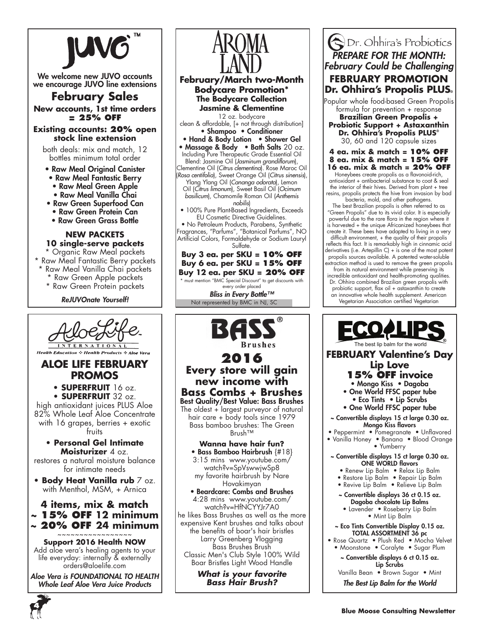

We welcome new JUVO accounts we encourage JUVO line extensions

### **February Sales**

**New accounts, 1st time orders = 25% OFF**

#### **Existing accounts: 20% open stock line extension**

both deals: mix and match, 12 bottles minimum total order

- Raw Meal Original Canister
- Raw Meal Fantastic Berry
- Raw Meal Green Apple
- Raw Meal Vanilla Chai
- Raw Green Superfood Can
- Raw Green Protein Can
- Raw Green Grass Bottle

#### **NEW PACKETS 10 single-serve packets**

\* Organic Raw Meal packets \* Raw Meal Fantastic Berry packets \* Raw Meal Vanilla Chai packets \* Raw Green Apple packets

- \* Raw Green Protein packets
	- *ReJUVOnate Yourself!*



**Health Education & Health Products & Aloe** 

### **Aloe Life February Promos**

**• SUPERFRUIT** 16 oz. **• SUPERFRUIT** 32 oz. high antioxidant juices PLUS Aloe 82% Whole Leaf Aloe Concentrate with 16 grapes, berries + exotic

fruits

**• Personal Gel Intimate Moisturizer** 4 oz.

restores a natural moisture balance for intimate needs

**• Body Heat Vanilla rub** 7 oz. with Menthol, MSM, + Arnica

### **4 items, mix & match ~ 15% OFF 12 minimum ~ 20% OFF 24 minimum**

~~~~~~~~~~~~~~~~~ **Support 2016 Health NOW**

Add aloe vera's healing agents to your life everyday: internally & externally orders@aloelife.com

*Aloe Vera is FOUNDATIONAL TO HEALTH Whole Leaf Aloe Vera Juice Products*



### **new income with Bass Combs + Brushes** Best Quality/Best Value: Bass Brushes

The oldest  $+$  largest purveyor of natural hair care + body tools since 1979 Bass bamboo brushes: The Green Brush™

- **Wanna have hair fun?** • Bass Bamboo Hairbrush {#18}
- 3:15 mins www.youtube.com/ watch?v=SpVswwjwSp8 my favorite hairbrush by Nare

Hovakimyan • Beardcare: Combs and Brushes 4:28 mins www.youtube.com/ watch?v=HfNCYYJr7A0 he likes Bass Brushes as well as the more expensive Kent brushes and talks about the benefits of boar's hair bristles Larry Greenberg Vlogging Bass Brushes Brush Classic Men's Club Style 100% Wild Boar Bristles Light Wood Handle

> *What is your favorite Bass Hair Brush?*

### **S**Dr. Ohhira's Probiotics *PREPARE FOR THE MONTH: February Could be Challenging* **FEBRUARY PROMOTION Dr. Ohhira's Propolis PLUS®**

Popular whole food-based Green Propolis formula for prevention + response

**Brazilian Green Propolis + Probiotic Support + Astaxanthin Dr. Ohhira's Propolis PLUS®** 30, 60 and 120 capsule sizes

#### **4 ea. mix & match = 10% OFF 8 ea. mix & match = 15% OFF 16 ea. mix & match = 20% OF**<br>
Honeybees create propolis as a flavonoid-rich,

antioxidant + antibacterial substance to coat & seal the interior of their hives. Derived from plant + tree resins, propolis protects the hive from invasion by bad bacteria, mold, and other pathogens.

The best Brazilian propolis is often referred to as "Green Propolis" due to its vivid color. It is especially powerful due to the rare flora in the region where it is harvested + the unique Africanized honeybees that create it. These bees have adapted to living in a very

difficult environment, + the quality of their propolis reflects this fact. It is remarkably high in cinnamic acid derivatives (i.e. Artepillin C) + is one of the most potent propolis sources available. A patented water-soluble extraction method is used to remove the green propolis

from its natural environment while preserving its incredible antioxidant and health-promoting qualities. Dr. Ohhira combined Brazilian green propolis with probiotic support, flax oil + astaxanthin to create an innovative whole health supplement. American Vegetarian Association certified Vegetarian



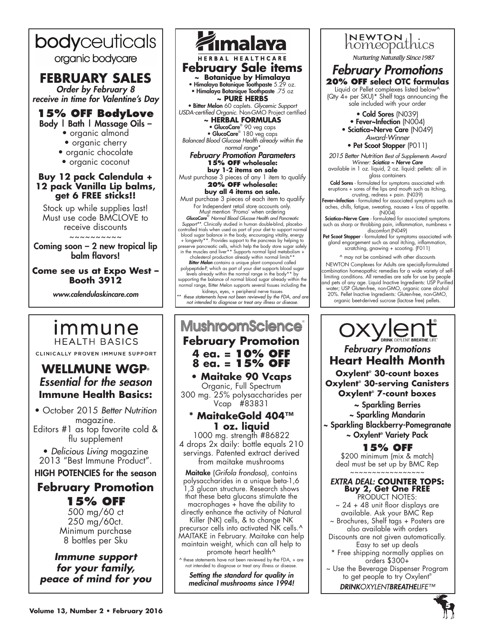# bodyceuticals

organic bodycare

### **FEBRUARY SALES** *Order by February 8*

*receive in time for Valentine's Day*

#### **15% OFF BodyLove** Body | Bath | Massage Oils –

- organic almond
- organic cherry
- organic chocolate
- organic coconut

### **Buy 12 pack Calendula + 12 pack Vanilla Lip balms, get 6 FREE sticks!!**

Stock up while supplies last! Must use code BMCLOVE to receive discounts

~~~~~~~~

Coming soon – 2 new tropical lip balm flavors!

### **Come see us at Expo West – Booth 3912**

*www.calendulaskincare.com*

### immune **HEALTH BASICS**

CLINICALLY PROVEN IMMUNE SUPPORT

### **WELLMUNE WGP®** *Essential for the season* **Immune Health Basics:**

• October 2015 *Better Nutrition* magazine. Editors #1 as top favorite cold &

flu supplement

• *Delicious Living* magazine 2013 "Best Immune Product".

### HIGH POTENCIES for the season

### **February Promotion 15% OFF**

500 mg/60 ct 250 mg/60ct. Minimum purchase 8 bottles per Sku

*Immune support for your family, peace of mind for you*



kidneys, eyes, + peripheral nerve tissues *\*\* these statements have not been reviewed by the FDA, and are not intended to diagnose or treat any illness or disease.*

### **MushroomScience February Promotion 4 ea. = 10% OFF 8 ea. = 15% OFF • Maitake 90 Vcaps**

Organic, Full Spectrum 300 mg. 25% polysaccharides per Vcap #83831

### **\* MaitakeGold 404™ 1 oz. liquid**

1000 mg. strength #86822 4 drops 2x daily: bottle equals 210 servings. Patented extract derived from maitake mushrooms

Maitake (*Grifola frondosa*), contains polysaccharides in a unique beta-1,6 1,3 glucan structure. Research shows that these beta glucans stimulate the macrophages + have the ability to directly enhance the activity of Natural Killer (NK) cells, & to change NK

precursor cells into activated NK cells.<sup>^</sup> MAITAKE in February. Maitake can help maintain weight, which can all help to promote heart health<sup>^</sup>

^ these statements have not been reviewed by the FDA, + are not intended to diagnose or treat any illness or disease.

*Setting the standard for quality in medicinal mushrooms since 1994!*



**Nurturing Naturally Since 1987** 

### *February Promotions* **20% OFF select OTC formulas**

Liquid or Pellet complexes listed below^ (Qty 4+ per SKU)\* Shelf tags announcing the sale included with your order

> • Cold Sores (N039) • Fever~Infection (N004) • Sciatica~Nerve Care (N049) *Award-Winner* • Pet Scoot Stopper (P011)

*2015 Better Nutrition Best of Supplements Award Winner: Sciatica ~ Nerve Care*

available in 1 oz. liquid, 2 oz. liquid: pellets: all in glass containers

Cold Sores - formulated for symptoms associated with eruptions + sores of the lips and mouth such as itching,

crusting, redness + pain. (N039)<br>**Fever~Infection** - formulated for associated symptoms such as aches, chills, fatigue, sweating, nausea + loss of appetite. (N004)

Sciatica~Nerve Care - formulated for associated symptoms such as sharp or throbbing pain, inflammation, numbness + discomfort.(N049)

Pet Scoot Stopper - formulated for symptoms associated with gland engorgement such as anal itching, inflammation, scratching, gnawing + scooting. (F011)

^ may not be combined with other discounts

NEWTON Complexes for Adults are specially-formulated combination homeopathic remedies for a wide variety of self-<br>limiting conditions. All remedies are safe for use by people<br>and pets of any age. Liquid Inactive Ingredients: USP Purified<br>water; USP Gluten-free, non-GMO, orga 20%. Pellet Inactive Ingredients: Gluten-free, non-GMO,

organic beet-derived sucrose (lactose free) pellets.



*February Promotions* **Heart Health Month**

**Oxylent® 30-count boxes Oxylent® 30-serving Canisters Oxylent® 7-count boxes**

**~** Sparkling Berries ~ Sparkling Mandarin ~ Sparkling Blackberry-Pomegranate

~ Oxylent**®** Variety Pack

### **15% OFF**

\$200 minimum (mix & match) deal must be set up by BMC Rep ~~~~~~~~~~~~~~~~~

*EXTRA DEAL:* **COUNTER TOPS: Buy 2, Get One FREE** PRODUCT NOTES: ~ 24 + 48 unit floor displays are

available. Ask your BMC Rep ~ Brochures, Shelf tags + Posters are also available with orders Discounts are not given automatically.

Easy to set up deals \* Free shipping normally applies on

orders \$300+

~ Use the Beverage Dispenser Program to get people to try Oxylent<sup>®</sup>

DRINK*OXYLENTBREATHELIFE™*

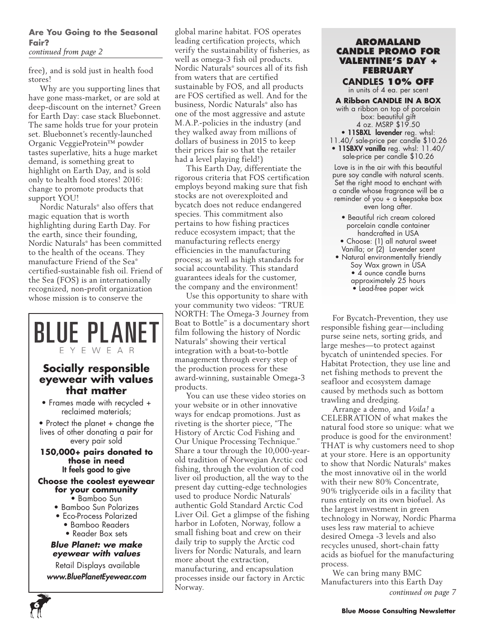### **Are You Going to the Seasonal Fair?**

*continued from page 2*

free), and is sold just in health food stores!

Why are you supporting lines that have gone mass-market, or are sold at deep-discount on the internet? Green for Earth Day: case stack Bluebonnet. The same holds true for your protein set. Bluebonnet's recently-launched Organic VeggieProtein™ powder tastes superlative, hits a huge market demand, is something great to highlight on Earth Day, and is sold only to health food stores! 2016: change to promote products that support YOU!

Nordic Naturals® also offers that magic equation that is worth highlighting during Earth Day. For the earth, since their founding, Nordic Naturals® has been committed to the health of the oceans. They manufacture Friend of the Sea® certified-sustainable fish oil. Friend of the Sea (FOS) is an internationally recognized, non-profit organization whose mission is to conserve the

### **Socially responsible eyewear with values that matter**

EYEWEAR

**BLUE PLANET** 

- Frames made with recycled + reclaimed materials;
- Protect the planet + change the lives of other donating a pair for every pair sold

**150,000+ pairs donated to those in need** It feels good to give

#### **Choose the coolest eyewear for your community**

- Bamboo Sun
- Bamboo Sun Polarizes
- Eco-Process Polarized
	- Bamboo Readers
	- Reader Box sets

#### *Blue Planet: we make eyewear with values*

 Retail Displays available *www.BluePlanetEyewear.com*

**6**

global marine habitat. FOS operates leading certification projects, which verify the sustainability of fisheries, as well as omega-3 fish oil products. Nordic Naturals® sources all of its fish from waters that are certified sustainable by FOS, and all products are FOS certified as well. And for the business, Nordic Naturals® also has one of the most aggressive and astute M.A.P.-policies in the industry (and they walked away from millions of dollars of business in 2015 to keep their prices fair so that the retailer had a level playing field!)

This Earth Day, differentiate the rigorous criteria that FOS certification employs beyond making sure that fish stocks are not overexploited and bycatch does not reduce endangered species. This commitment also pertains to how fishing practices reduce ecosystem impact; that the manufacturing reflects energy efficiencies in the manufacturing process; as well as high standards for social accountability. This standard guarantees ideals for the customer, the company and the environment!

Use this opportunity to share with your community two videos: "TRUE NORTH: The Omega-3 Journey from Boat to Bottle" is a documentary short film following the history of Nordic Naturals® showing their vertical integration with a boat-to-bottle management through every step of the production process for these award-winning, sustainable Omega-3 products.

You can use these video stories on your website or in other innovative ways for endcap promotions. Just as riveting is the shorter piece, "The History of Arctic Cod Fishing and Our Unique Processing Technique." Share a tour through the 10,000-yearold tradition of Norwegian Arctic cod fishing, through the evolution of cod liver oil production, all the way to the present day cutting-edge technologies used to produce Nordic Naturals' authentic Gold Standard Arctic Cod Liver Oil. Get a glimpse of the fishing harbor in Lofoten, Norway, follow a small fishing boat and crew on their daily trip to supply the Arctic cod livers for Nordic Naturals, and learn more about the extraction, manufacturing, and encapsulation processes inside our factory in Arctic Norway.

#### **Aromaland Candle Promo for Valentine's Day + February**

**candles 10% OFF** in units of 4 ea. per scent

**A Ribbon CANDLE IN A BOX** with a ribbon on top of porcelain box: beautiful gift 4 oz. MSRP \$19.50 • 11SBXL lavender reg. whsl:

- 11.40/ sale-price per candle \$10.26 • 11SBXV vanilla reg. whsl: 11.40/
	- sale-price per candle \$10.26

Love is in the air with this beautiful pure soy candle with natural scents. Set the right mood to enchant with a candle whose fragrance will be a reminder of you + a keepsake box even long after.

- Beautiful rich cream colored porcelain candle container handcrafted in USA • Choose: (1) all natural sweet
- Vanilla; or (2) Lavender scent
- Natural environmentally friendly Soy Wax grown in USA • 4 ounce candle burns approximately 25 hours • Lead-free paper wick

For Bycatch-Prevention, they use responsible fishing gear—including purse seine nets, sorting grids, and large meshes—to protect against bycatch of unintended species. For Habitat Protection, they use line and net fishing methods to prevent the seafloor and ecosystem damage caused by methods such as bottom trawling and dredging.

Arrange a demo, and *Voila!* a CELEBRATION of what makes the natural food store so unique: what we produce is good for the environment! THAT is why customers need to shop at your store. Here is an opportunity to show that Nordic Naturals® makes the most innovative oil in the world with their new 80% Concentrate, 90% triglyceride oils in a facility that runs entirely on its own biofuel. As the largest investment in green technology in Norway, Nordic Pharma uses less raw material to achieve desired Omega -3 levels and also recycles unused, short-chain fatty acids as biofuel for the manufacturing process.

We can bring many BMC Manufacturers into this Earth Day *continued on page 7*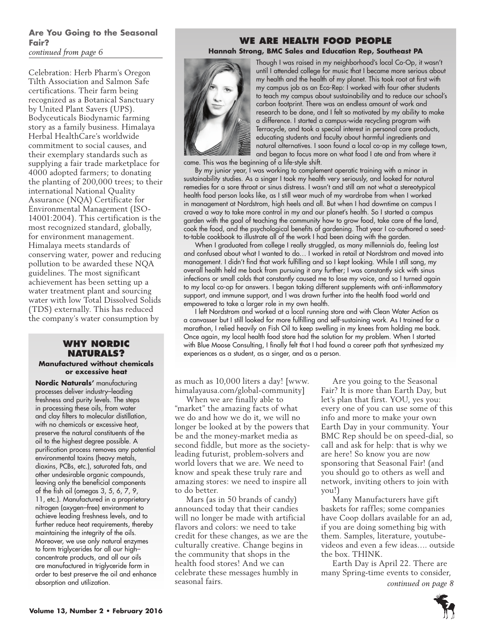### **Are You Going to the Seasonal Fair?**

*continued from page 6*

Celebration: Herb Pharm's Oregon Tilth Association and Salmon Safe certifications. Their farm being recognized as a Botanical Sanctuary by United Plant Savers (UPS). Bodyceuticals Biodynamic farming story as a family business. Himalaya Herbal HealthCare's worldwide commitment to social causes, and their exemplary standards such as supplying a fair trade marketplace for 4000 adopted farmers; to donating the planting of 200,000 trees; to their international National Quality Assurance (NQA) Certificate for Environmental Management (ISO-14001:2004). This certification is the most recognized standard, globally, for environment management. Himalaya meets standards of conserving water, power and reducing pollution to be awarded these NQA guidelines. The most significant achievement has been setting up a water treatment plant and sourcing water with low Total Dissolved Solids (TDS) externally. This has reduced the company's water consumption by

### **Why Nordic Naturals?**

#### **Manufactured without chemicals or excessive heat**

**Nordic Naturals'** manufacturing processes deliver industry–leading freshness and purity levels. The steps in processing these oils, from water and clay filters to molecular distillation, with no chemicals or excessive heat, preserve the natural constituents of the oil to the highest degree possible. A purification process removes any potential environmental toxins (heavy metals, dioxins, PCBs, etc.), saturated fats, and other undesirable organic compounds, leaving only the beneficial components of the fish oil (omegas 3, 5, 6, 7, 9, 11, etc.). Manufactured in a proprietary nitrogen (oxygen–free) environment to achieve leading freshness levels, and to further reduce heat requirements, thereby maintaining the integrity of the oils. Moreover, we use only natural enzymes to form triglycerides for all our high– concentrate products, and all our oils are manufactured in triglyceride form in order to best preserve the oil and enhance absorption and utilization.

### **We Are Health Food People Hannah Strong, BMC Sales and Education Rep, Southeast PA**



Though I was raised in my neighborhood's local Co-Op, it wasn't until I attended college for music that I became more serious about my health and the health of my planet. This took root at first with my campus job as an Eco-Rep: I worked with four other students to teach my campus about sustainability and to reduce our school's carbon footprint. There was an endless amount of work and research to be done, and I felt so motivated by my ability to make a difference. I started a campus-wide recycling program with Terracycle, and took a special interest in personal care products, educating students and faculty about harmful ingredients and natural alternatives. I soon found a local co-op in my college town, and began to focus more on what food I ate and from where it

came. This was the beginning of a life-style shift.

By my junior year, I was working to complement operatic training with a minor in sustainability studies. As a singer I took my health very seriously, and looked for natural remedies for a sore throat or sinus distress. I wasn't and still am not what a stereotypical health food person looks like, as I still wear much of my wardrobe from when I worked in management at Nordstrom, high heels and all. But when I had downtime on campus I craved a way to take more control in my and our planet's health. So I started a campus garden with the goal of teaching the community how to grow food, take care of the land, cook the food, and the psychological benefits of gardening. That year I co-authored a seedto-table cookbook to illustrate all of the work I had been doing with the garden.

When I graduated from college I really struggled, as many millennials do, feeling lost and confused about what I wanted to do… I worked in retail at Nordstrom and moved into management. I didn't find that work fulfilling and so I kept looking. While I still sang, my overall health held me back from pursuing it any further; I was constantly sick with sinus infections or small colds that constantly caused me to lose my voice, and so I turned again to my local co-op for answers. I began taking different supplements with anti-inflammatory support, and immune support, and I was drawn further into the health food world and empowered to take a larger role in my own health.

I left Nordstrom and worked at a local running store and with Clean Water Action as a canvasser but I still looked for more fulfilling and self-sustaining work. As I trained for a marathon, I relied heavily on Fish Oil to keep swelling in my knees from holding me back. Once again, my local health food store had the solution for my problem. When I started with Blue Moose Consulting, I finally felt that I had found a career path that synthesized my experiences as a student, as a singer, and as a person.

as much as 10,000 liters a day! [www. himalayausa.com/global-community]

When we are finally able to "market" the amazing facts of what we do and how we do it, we will no longer be looked at by the powers that be and the money-market media as second fiddle, but more as the societyleading futurist, problem-solvers and world lovers that we are. We need to know and speak these truly rare and amazing stores: we need to inspire all to do better.

Mars (as in 50 brands of candy) announced today that their candies will no longer be made with artificial flavors and colors: we need to take credit for these changes, as we are the culturally creative. Change begins in the community that shops in the health food stores! And we can celebrate these messages humbly in seasonal fairs.

Are you going to the Seasonal Fair? It is more than Earth Day, but let's plan that first. YOU, yes you: every one of you can use some of this info and more to make your own Earth Day in your community. Your BMC Rep should be on speed-dial, so call and ask for help: that is why we are here! So know you are now sponsoring that Seasonal Fair! (and you should go to others as well and network, inviting others to join with you!)

Many Manufacturers have gift baskets for raffles; some companies have Coop dollars available for an ad, if you are doing something big with them. Samples, literature, youtubevideos and even a few ideas…. outside the box. THINK.

Earth Day is April 22. There are many Spring-time events to consider, *continued on page 8*